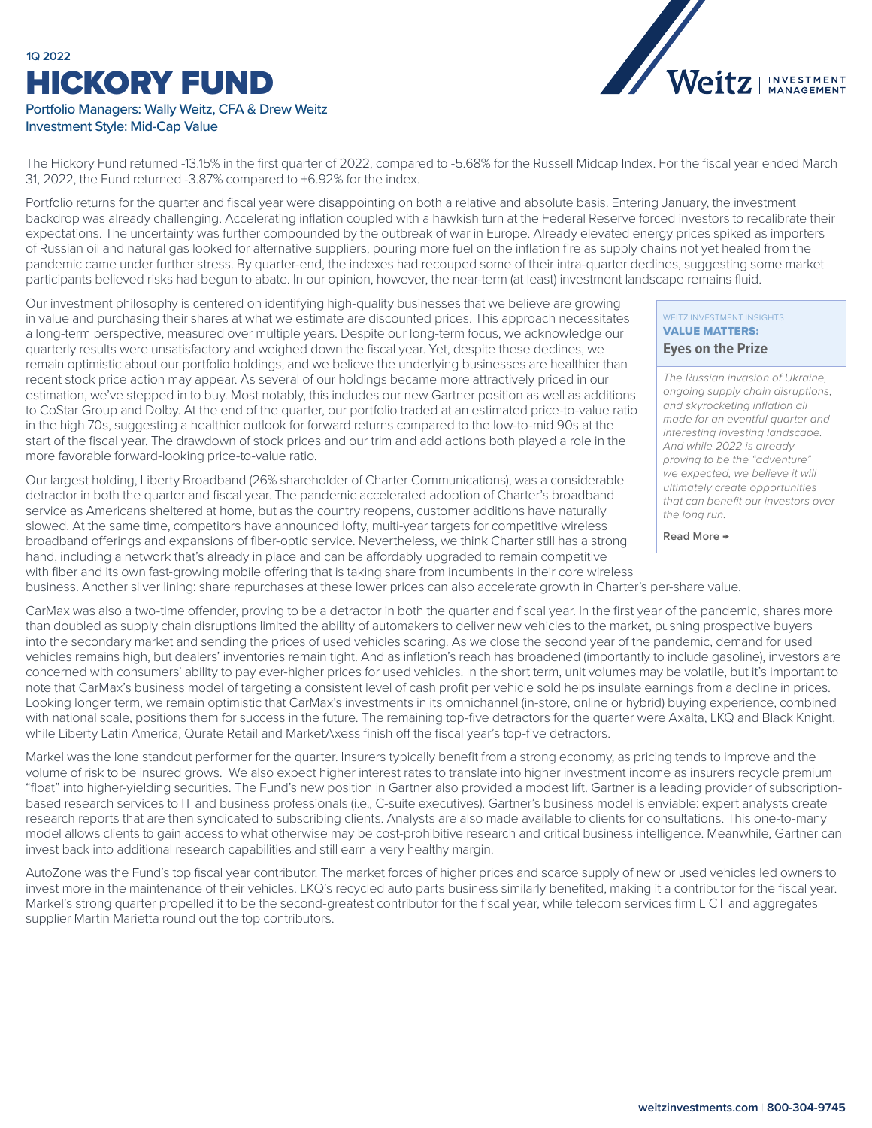# **1Q 2022** HICKORY FUND



## Portfolio Managers: Wally Weitz, CFA & Drew Weitz Investment Style: Mid-Cap Value

The Hickory Fund returned -13.15% in the first quarter of 2022, compared to -5.68% for the Russell Midcap Index. For the fiscal year ended March 31, 2022, the Fund returned -3.87% compared to +6.92% for the index.

Portfolio returns for the quarter and fiscal year were disappointing on both a relative and absolute basis. Entering January, the investment backdrop was already challenging. Accelerating inflation coupled with a hawkish turn at the Federal Reserve forced investors to recalibrate their expectations. The uncertainty was further compounded by the outbreak of war in Europe. Already elevated energy prices spiked as importers of Russian oil and natural gas looked for alternative suppliers, pouring more fuel on the inflation fire as supply chains not yet healed from the pandemic came under further stress. By quarter-end, the indexes had recouped some of their intra-quarter declines, suggesting some market participants believed risks had begun to abate. In our opinion, however, the near-term (at least) investment landscape remains fluid.

Our investment philosophy is centered on identifying high-quality businesses that we believe are growing in value and purchasing their shares at what we estimate are discounted prices. This approach necessitates a long-term perspective, measured over multiple years. Despite our long-term focus, we acknowledge our quarterly results were unsatisfactory and weighed down the fiscal year. Yet, despite these declines, we remain optimistic about our portfolio holdings, and we believe the underlying businesses are healthier than recent stock price action may appear. As several of our holdings became more attractively priced in our estimation, we've stepped in to buy. Most notably, this includes our new Gartner position as well as additions to CoStar Group and Dolby. At the end of the quarter, our portfolio traded at an estimated price-to-value ratio in the high 70s, suggesting a healthier outlook for forward returns compared to the low-to-mid 90s at the start of the fiscal year. The drawdown of stock prices and our trim and add actions both played a role in the more favorable forward-looking price-to-value ratio.

Our largest holding, Liberty Broadband (26% shareholder of Charter Communications), was a considerable detractor in both the quarter and fiscal year. The pandemic accelerated adoption of Charter's broadband service as Americans sheltered at home, but as the country reopens, customer additions have naturally slowed. At the same time, competitors have announced lofty, multi-year targets for competitive wireless broadband offerings and expansions of fiber-optic service. Nevertheless, we think Charter still has a strong hand, including a network that's already in place and can be affordably upgraded to remain competitive with fiber and its own fast-growing mobile offering that is taking share from incumbents in their core wireless

# WEITZ INVESTMENT INSIGHTS VALUE MATTERS:

#### **Eyes on the Prize**

*The Russian invasion of Ukraine, ongoing supply chain disruptions, and skyrocketing inflation all made for an eventful quarter and interesting investing landscape. And while 2022 is already proving to be the "adventure" we expected, we believe it will ultimately create opportunities [that can benefit our investors over](https://weitzinvestments.com/perspectives/investment-insights/a-162/eyes-on-the-prize.fs)  the long run.*

**Read More →**

business. Another silver lining: share repurchases at these lower prices can also accelerate growth in Charter's per-share value.

CarMax was also a two-time offender, proving to be a detractor in both the quarter and fiscal year. In the first year of the pandemic, shares more than doubled as supply chain disruptions limited the ability of automakers to deliver new vehicles to the market, pushing prospective buyers into the secondary market and sending the prices of used vehicles soaring. As we close the second year of the pandemic, demand for used vehicles remains high, but dealers' inventories remain tight. And as inflation's reach has broadened (importantly to include gasoline), investors are concerned with consumers' ability to pay ever-higher prices for used vehicles. In the short term, unit volumes may be volatile, but it's important to note that CarMax's business model of targeting a consistent level of cash profit per vehicle sold helps insulate earnings from a decline in prices. Looking longer term, we remain optimistic that CarMax's investments in its omnichannel (in-store, online or hybrid) buying experience, combined with national scale, positions them for success in the future. The remaining top-five detractors for the quarter were Axalta, LKQ and Black Knight, while Liberty Latin America, Qurate Retail and MarketAxess finish off the fiscal year's top-five detractors.

Markel was the lone standout performer for the quarter. Insurers typically benefit from a strong economy, as pricing tends to improve and the volume of risk to be insured grows. We also expect higher interest rates to translate into higher investment income as insurers recycle premium "float" into higher-yielding securities. The Fund's new position in Gartner also provided a modest lift. Gartner is a leading provider of subscriptionbased research services to IT and business professionals (i.e., C-suite executives). Gartner's business model is enviable: expert analysts create research reports that are then syndicated to subscribing clients. Analysts are also made available to clients for consultations. This one-to-many model allows clients to gain access to what otherwise may be cost-prohibitive research and critical business intelligence. Meanwhile, Gartner can invest back into additional research capabilities and still earn a very healthy margin.

AutoZone was the Fund's top fiscal year contributor. The market forces of higher prices and scarce supply of new or used vehicles led owners to invest more in the maintenance of their vehicles. LKQ's recycled auto parts business similarly benefited, making it a contributor for the fiscal year. Markel's strong quarter propelled it to be the second-greatest contributor for the fiscal year, while telecom services firm LICT and aggregates supplier Martin Marietta round out the top contributors.